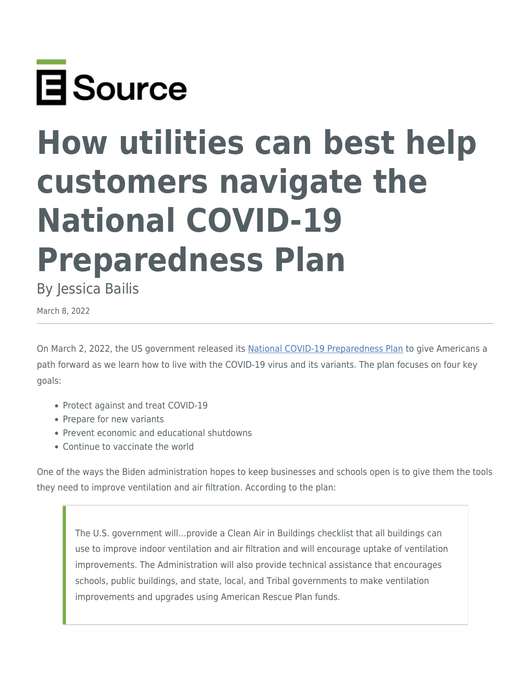

## **How utilities can best help customers navigate the National COVID-19 Preparedness Plan**

By Jessica Bailis

March 8, 2022

On March 2, 2022, the US government released its [National COVID-19 Preparedness Plan](https://www.whitehouse.gov/covidplan/) to give Americans a path forward as we learn how to live with the COVID-19 virus and its variants. The plan focuses on four key goals:

- Protect against and treat COVID-19
- Prepare for new variants
- Prevent economic and educational shutdowns
- Continue to vaccinate the world

One of the ways the Biden administration hopes to keep businesses and schools open is to give them the tools they need to improve ventilation and air filtration. According to the plan:

The U.S. government will…provide a Clean Air in Buildings checklist that all buildings can use to improve indoor ventilation and air filtration and will encourage uptake of ventilation improvements. The Administration will also provide technical assistance that encourages schools, public buildings, and state, local, and Tribal governments to make ventilation improvements and upgrades using American Rescue Plan funds.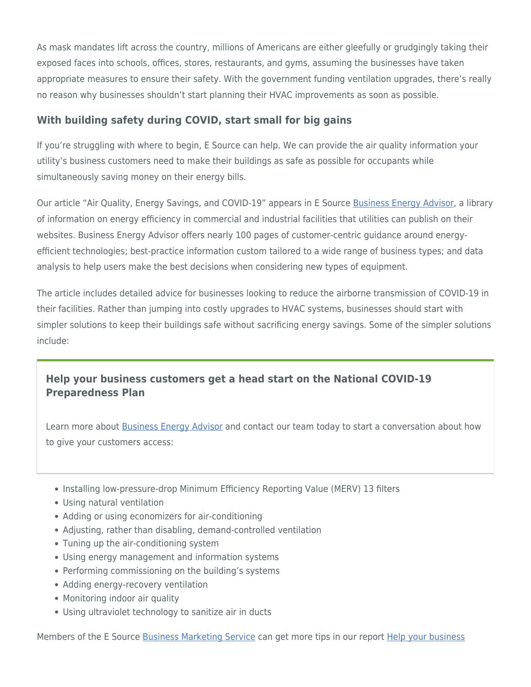As mask mandates lift across the country, millions of Americans are either gleefully or grudgingly taking their exposed faces into schools, offices, stores, restaurants, and gyms, assuming the businesses have taken appropriate measures to ensure their safety. With the government funding ventilation upgrades, there's really no reason why businesses shouldn't start planning their HVAC improvements as soon as possible.

## **With building safety during COVID, start small for big gains**

If you're struggling with where to begin, E Source can help. We can provide the air quality information your utility's business customers need to make their buildings as safe as possible for occupants while simultaneously saving money on their energy bills.

Our article "Air Quality, Energy Savings, and COVID-19" appears in E Source [Business Energy Advisor](https://www.esource.com/BusinessEnergyAdvisor), a library of information on energy efficiency in commercial and industrial facilities that utilities can publish on their websites. Business Energy Advisor offers nearly 100 pages of customer-centric guidance around energyefficient technologies; best-practice information custom tailored to a wide range of business types; and data analysis to help users make the best decisions when considering new types of equipment.

The article includes detailed advice for businesses looking to reduce the airborne transmission of COVID-19 in their facilities. Rather than jumping into costly upgrades to HVAC systems, businesses should start with simpler solutions to keep their buildings safe without sacrificing energy savings. Some of the simpler solutions include:

## **Help your business customers get a head start on the National COVID-19 Preparedness Plan**

Learn more about [Business Energy Advisor](https://www.esource.com/BusinessEnergyAdvisor) and contact our team today to start a conversation about how to give your customers access:

- Installing low-pressure-drop Minimum Efficiency Reporting Value (MERV) 13 filters
- Using natural ventilation
- Adding or using economizers for air-conditioning
- Adjusting, rather than disabling, demand-controlled ventilation
- Tuning up the air-conditioning system
- Using energy management and information systems
- Performing commissioning on the building's systems
- Adding energy-recovery ventilation
- Monitoring indoor air quality
- Using ultraviolet technology to sanitize air in ducts

Members of the E Source [Business Marketing Service](https://www.esource.com/business-marketing-service-membership) can get more tips in our report [Help your business](https://www.esource.com/124211gvf3/help-your-business-customers-manage-energy-use-they-reopen-after-covid-19-closures)